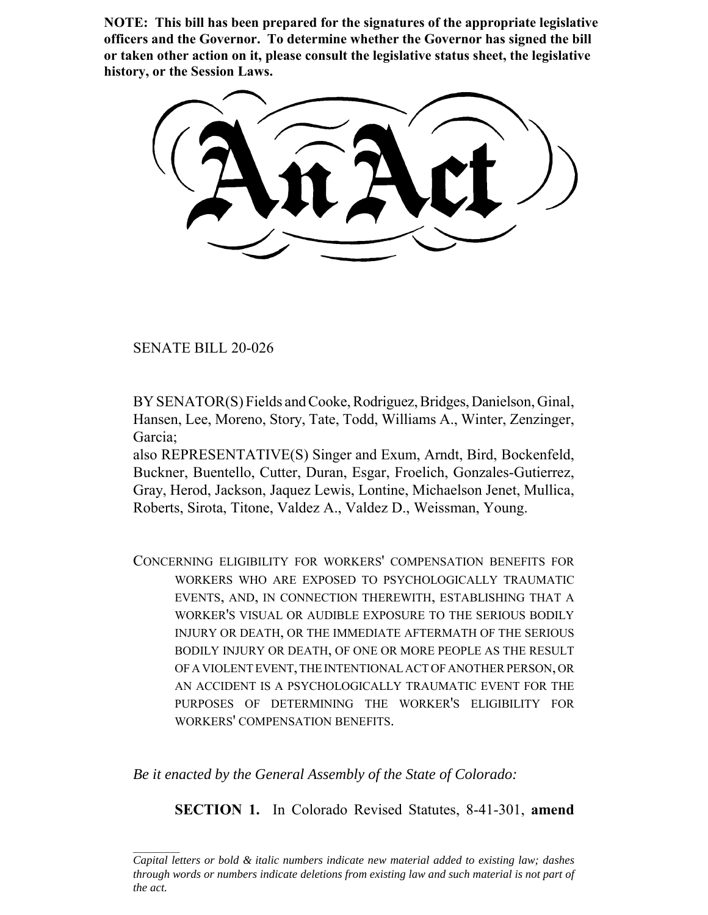**NOTE: This bill has been prepared for the signatures of the appropriate legislative officers and the Governor. To determine whether the Governor has signed the bill or taken other action on it, please consult the legislative status sheet, the legislative history, or the Session Laws.**

SENATE BILL 20-026

BY SENATOR(S) Fields and Cooke, Rodriguez, Bridges, Danielson, Ginal, Hansen, Lee, Moreno, Story, Tate, Todd, Williams A., Winter, Zenzinger, Garcia;

also REPRESENTATIVE(S) Singer and Exum, Arndt, Bird, Bockenfeld, Buckner, Buentello, Cutter, Duran, Esgar, Froelich, Gonzales-Gutierrez, Gray, Herod, Jackson, Jaquez Lewis, Lontine, Michaelson Jenet, Mullica, Roberts, Sirota, Titone, Valdez A., Valdez D., Weissman, Young.

CONCERNING ELIGIBILITY FOR WORKERS' COMPENSATION BENEFITS FOR WORKERS WHO ARE EXPOSED TO PSYCHOLOGICALLY TRAUMATIC EVENTS, AND, IN CONNECTION THEREWITH, ESTABLISHING THAT A WORKER'S VISUAL OR AUDIBLE EXPOSURE TO THE SERIOUS BODILY INJURY OR DEATH, OR THE IMMEDIATE AFTERMATH OF THE SERIOUS BODILY INJURY OR DEATH, OF ONE OR MORE PEOPLE AS THE RESULT OF A VIOLENT EVENT, THE INTENTIONAL ACT OF ANOTHER PERSON, OR AN ACCIDENT IS A PSYCHOLOGICALLY TRAUMATIC EVENT FOR THE PURPOSES OF DETERMINING THE WORKER'S ELIGIBILITY FOR WORKERS' COMPENSATION BENEFITS.

*Be it enacted by the General Assembly of the State of Colorado:*

**SECTION 1.** In Colorado Revised Statutes, 8-41-301, **amend**

*Capital letters or bold & italic numbers indicate new material added to existing law; dashes through words or numbers indicate deletions from existing law and such material is not part of the act.*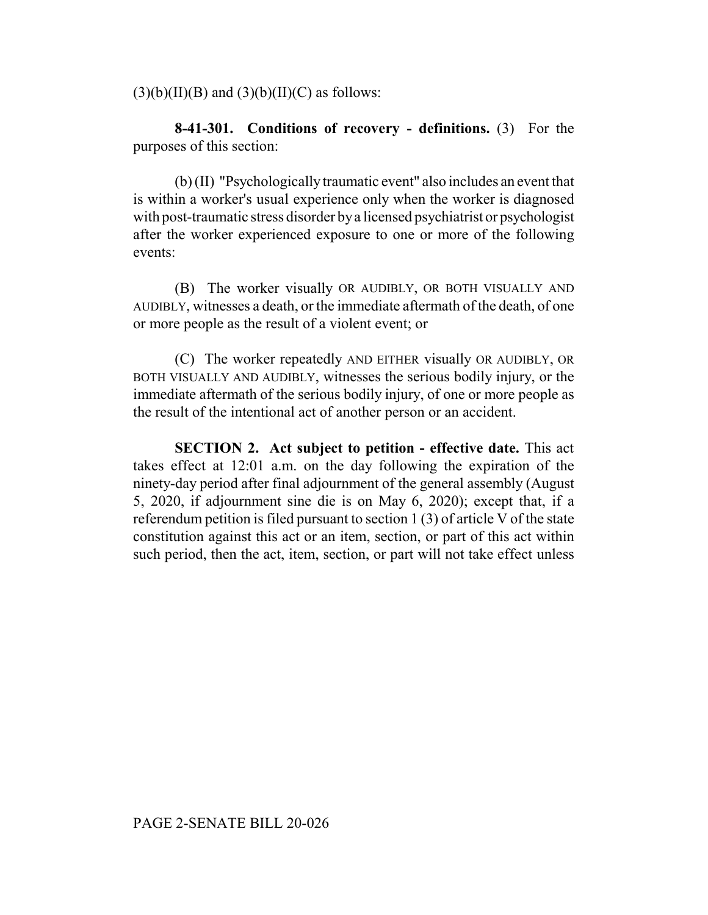$(3)(b)(II)(B)$  and  $(3)(b)(II)(C)$  as follows:

**8-41-301. Conditions of recovery - definitions.** (3) For the purposes of this section:

(b) (II) "Psychologically traumatic event" also includes an event that is within a worker's usual experience only when the worker is diagnosed with post-traumatic stress disorder by a licensed psychiatrist or psychologist after the worker experienced exposure to one or more of the following events:

(B) The worker visually OR AUDIBLY, OR BOTH VISUALLY AND AUDIBLY, witnesses a death, or the immediate aftermath of the death, of one or more people as the result of a violent event; or

(C) The worker repeatedly AND EITHER visually OR AUDIBLY, OR BOTH VISUALLY AND AUDIBLY, witnesses the serious bodily injury, or the immediate aftermath of the serious bodily injury, of one or more people as the result of the intentional act of another person or an accident.

**SECTION 2. Act subject to petition - effective date.** This act takes effect at 12:01 a.m. on the day following the expiration of the ninety-day period after final adjournment of the general assembly (August 5, 2020, if adjournment sine die is on May 6, 2020); except that, if a referendum petition is filed pursuant to section 1 (3) of article V of the state constitution against this act or an item, section, or part of this act within such period, then the act, item, section, or part will not take effect unless